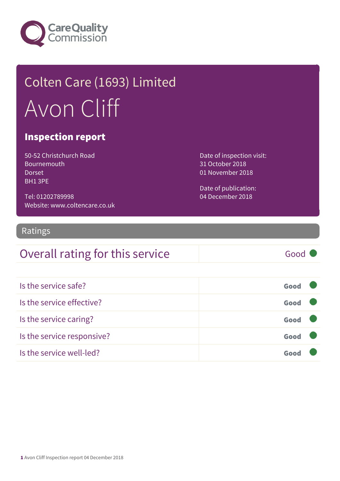

# Colten Care (1693) Limited Avon Cliff

#### Inspection report

50-52 Christchurch Road Bournemouth Dorset BH1 3PE

Tel: 01202789998 Website: www.coltencare.co.uk Date of inspection visit: 31 October 2018 01 November 2018

Date of publication: 04 December 2018

#### Ratings

#### Overall rating for this service Good

| Is the service safe?       | Good |  |
|----------------------------|------|--|
| Is the service effective?  | Good |  |
| Is the service caring?     | Good |  |
| Is the service responsive? | Good |  |
| Is the service well-led?   | Goo  |  |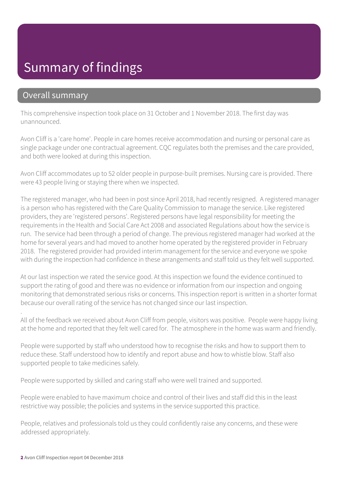#### Summary of findings

#### Overall summary

This comprehensive inspection took place on 31 October and 1 November 2018. The first day was unannounced.

Avon Cliff is a 'care home'. People in care homes receive accommodation and nursing or personal care as single package under one contractual agreement. CQC regulates both the premises and the care provided, and both were looked at during this inspection.

Avon Cliff accommodates up to 52 older people in purpose-built premises. Nursing care is provided. There were 43 people living or staying there when we inspected.

The registered manager, who had been in post since April 2018, had recently resigned. A registered manager is a person who has registered with the Care Quality Commission to manage the service. Like registered providers, they are 'registered persons'. Registered persons have legal responsibility for meeting the requirements in the Health and Social Care Act 2008 and associated Regulations about how the service is run. The service had been through a period of change. The previous registered manager had worked at the home for several years and had moved to another home operated by the registered provider in February 2018. The registered provider had provided interim management for the service and everyone we spoke with during the inspection had confidence in these arrangements and staff told us they felt well supported.

At our last inspection we rated the service good. At this inspection we found the evidence continued to support the rating of good and there was no evidence or information from our inspection and ongoing monitoring that demonstrated serious risks or concerns. This inspection report is written in a shorter format because our overall rating of the service has not changed since our last inspection.

. All of the feedback we received about Avon Cliff from people, visitors was positive. People were happy living at the home and reported that they felt well cared for. The atmosphere in the home was warm and friendly.

People were supported by staff who understood how to recognise the risks and how to support them to reduce these. Staff understood how to identify and report abuse and how to whistle blow. Staff also supported people to take medicines safely.

People were supported by skilled and caring staff who were well trained and supported.

People were enabled to have maximum choice and control of their lives and staff did this in the least restrictive way possible; the policies and systems in the service supported this practice.

People, relatives and professionals told us they could confidently raise any concerns, and these were addressed appropriately.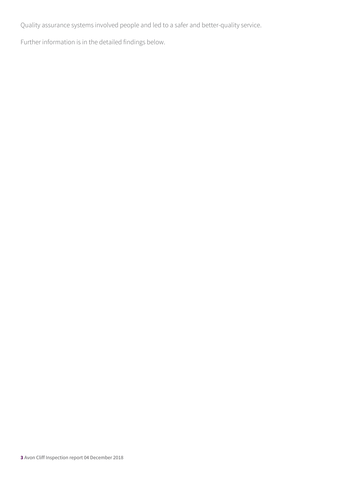Quality assurance systems involved people and led to a safer and better-quality service.

Further information is in the detailed findings below.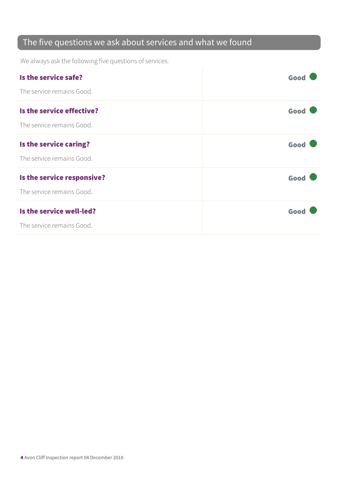#### The five questions we ask about services and what we found

We always ask the following five questions of services.

| Is the service safe?       | Good |
|----------------------------|------|
| The service remains Good.  |      |
| Is the service effective?  | Good |
| The service remains Good.  |      |
| Is the service caring?     | Good |
| The service remains Good.  |      |
| Is the service responsive? | Good |
| The service remains Good.  |      |
| Is the service well-led?   | Good |
| The service remains Good.  |      |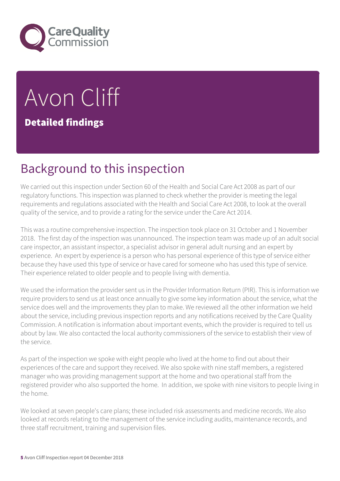

# Avon Cliff Detailed findings

### Background to this inspection

We carried out this inspection under Section 60 of the Health and Social Care Act 2008 as part of our regulatory functions. This inspection was planned to check whether the provider is meeting the legal requirements and regulations associated with the Health and Social Care Act 2008, to look at the overall quality of the service, and to provide a rating for the service under the Care Act 2014.

This was a routine comprehensive inspection. The inspection took place on 31 October and 1 November 2018. The first day of the inspection was unannounced. The inspection team was made up of an adult social care inspector, an assistant inspector, a specialist advisor in general adult nursing and an expert by experience. An expert by experience is a person who has personal experience of this type of service either because they have used this type of service or have cared for someone who has used this type of service. Their experience related to older people and to people living with dementia.

We used the information the provider sent us in the Provider Information Return (PIR). This is information we require providers to send us at least once annually to give some key information about the service, what the service does well and the improvements they plan to make. We reviewed all the other information we held about the service, including previous inspection reports and any notifications received by the Care Quality Commission. A notification is information about important events, which the provider is required to tell us about by law. We also contacted the local authority commissioners of the service to establish their view of the service.

As part of the inspection we spoke with eight people who lived at the home to find out about their experiences of the care and support they received. We also spoke with nine staff members, a registered manager who was providing management support at the home and two operational staff from the registered provider who also supported the home. In addition, we spoke with nine visitors to people living in the home.

We looked at seven people's care plans; these included risk assessments and medicine records. We also looked at records relating to the management of the service including audits, maintenance records, and three staff recruitment, training and supervision files.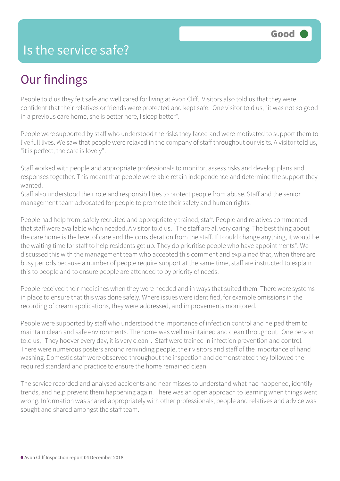#### Is the service safe?

#### Our findings

People told us they felt safe and well cared for living at Avon Cliff. Visitors also told us that they were confident that their relatives or friends were protected and kept safe. One visitor told us, "it was not so good in a previous care home, she is better here, I sleep better".

People were supported by staff who understood the risks they faced and were motivated to support them to live full lives. We saw that people were relaxed in the company of staff throughout our visits. A visitor told us, "it is perfect, the care is lovely".

Staff worked with people and appropriate professionals to monitor, assess risks and develop plans and responses together. This meant that people were able retain independence and determine the support they wanted.

Staff also understood their role and responsibilities to protect people from abuse. Staff and the senior management team advocated for people to promote their safety and human rights.

People had help from, safely recruited and appropriately trained, staff. People and relatives commented that staff were available when needed. A visitor told us, "The staff are all very caring. The best thing about the care home is the level of care and the consideration from the staff. If I could change anything, it would be the waiting time for staff to help residents get up. They do prioritise people who have appointments". We discussed this with the management team who accepted this comment and explained that, when there are busy periods because a number of people require support at the same time, staff are instructed to explain this to people and to ensure people are attended to by priority of needs.

People received their medicines when they were needed and in ways that suited them. There were systems in place to ensure that this was done safely. Where issues were identified, for example omissions in the recording of cream applications, they were addressed, and improvements monitored.

People were supported by staff who understood the importance of infection control and helped them to maintain clean and safe environments. The home was well maintained and clean throughout. One person told us, "They hoover every day, it is very clean". Staff were trained in infection prevention and control. There were numerous posters around reminding people, their visitors and staff of the importance of hand washing. Domestic staff were observed throughout the inspection and demonstrated they followed the required standard and practice to ensure the home remained clean.

The service recorded and analysed accidents and near misses to understand what had happened, identify trends, and help prevent them happening again. There was an open approach to learning when things went wrong. Information was shared appropriately with other professionals, people and relatives and advice was sought and shared amongst the staff team.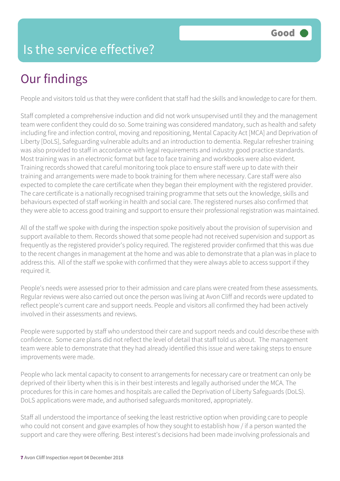### Is the service effective?

# Our findings

People and visitors told us that they were confident that staff had the skills and knowledge to care for them.

Staff completed a comprehensive induction and did not work unsupervised until they and the management team were confident they could do so. Some training was considered mandatory, such as health and safety including fire and infection control, moving and repositioning, Mental Capacity Act [MCA] and Deprivation of Liberty [DoLS], Safeguarding vulnerable adults and an introduction to dementia. Regular refresher training was also provided to staff in accordance with legal requirements and industry good practice standards. Most training was in an electronic format but face to face training and workbooks were also evident. Training records showed that careful monitoring took place to ensure staff were up to date with their training and arrangements were made to book training for them where necessary. Care staff were also expected to complete the care certificate when they began their employment with the registered provider. The care certificate is a nationally recognised training programme that sets out the knowledge, skills and behaviours expected of staff working in health and social care. The registered nurses also confirmed that they were able to access good training and support to ensure their professional registration was maintained.

All of the staff we spoke with during the inspection spoke positively about the provision of supervision and support available to them. Records showed that some people had not received supervision and support as frequently as the registered provider's policy required. The registered provider confirmed that this was due to the recent changes in management at the home and was able to demonstrate that a plan was in place to address this. All of the staff we spoke with confirmed that they were always able to access support if they required it.

People's needs were assessed prior to their admission and care plans were created from these assessments. Regular reviews were also carried out once the person was living at Avon Cliff and records were updated to reflect people's current care and support needs. People and visitors all confirmed they had been actively involved in their assessments and reviews.

People were supported by staff who understood their care and support needs and could describe these with confidence. Some care plans did not reflect the level of detail that staff told us about. The management team were able to demonstrate that they had already identified this issue and were taking steps to ensure improvements were made.

People who lack mental capacity to consent to arrangements for necessary care or treatment can only be deprived of their liberty when this is in their best interests and legally authorised under the MCA. The procedures for this in care homes and hospitals are called the Deprivation of Liberty Safeguards (DoLS). DoLS applications were made, and authorised safeguards monitored, appropriately.

Staff all understood the importance of seeking the least restrictive option when providing care to people who could not consent and gave examples of how they sought to establish how / if a person wanted the support and care they were offering. Best interest's decisions had been made involving professionals and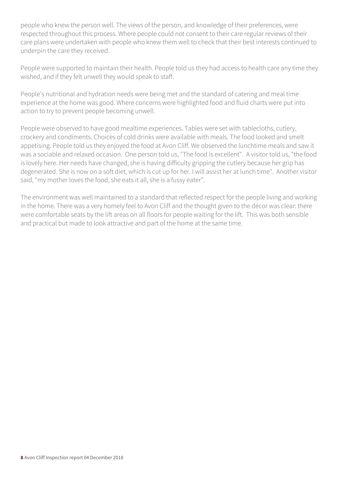people who knew the person well. The views of the person, and knowledge of their preferences, were respected throughout this process. Where people could not consent to their care regular reviews of their care plans were undertaken with people who knew them well to check that their best interests continued to underpin the care they received.

People were supported to maintain their health. People told us they had access to health care any time they wished, and if they felt unwell they would speak to staff.

People's nutritional and hydration needs were being met and the standard of catering and meal time experience at the home was good. Where concerns were highlighted food and fluid charts were put into action to try to prevent people becoming unwell.

People were observed to have good mealtime experiences. Tables were set with tablecloths, cutlery, crockery and condiments. Choices of cold drinks were available with meals. The food looked and smelt appetising. People told us they enjoyed the food at Avon Cliff. We observed the lunchtime meals and saw it was a sociable and relaxed occasion. One person told us, "The food is excellent". A visitor told us, "the food is lovely here. Her needs have changed, she is having difficulty gripping the cutlery because her grip has degenerated. She is now on a soft diet, which is cut up for her. I will assist her at lunch time". Another visitor said, "my mother loves the food, she eats it all, she is a fussy eater".

The environment was well maintained to a standard that reflected respect for the people living and working in the home. There was a very homely feel to Avon Cliff and the thought given to the décor was clear: there were comfortable seats by the lift areas on all floors for people waiting for the lift. This was both sensible and practical but made to look attractive and part of the home at the same time.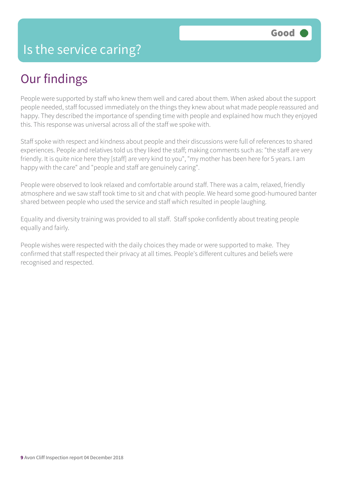## Our findings

People were supported by staff who knew them well and cared about them. When asked about the support people needed, staff focussed immediately on the things they knew about what made people reassured and happy. They described the importance of spending time with people and explained how much they enjoyed this. This response was universal across all of the staff we spoke with.

Staff spoke with respect and kindness about people and their discussions were full of references to shared experiences. People and relatives told us they liked the staff; making comments such as: "the staff are very friendly. It is quite nice here they [staff] are very kind to you", "my mother has been here for 5 years. I am happy with the care" and "people and staff are genuinely caring".

People were observed to look relaxed and comfortable around staff. There was a calm, relaxed, friendly atmosphere and we saw staff took time to sit and chat with people. We heard some good-humoured banter shared between people who used the service and staff which resulted in people laughing.

Equality and diversity training was provided to all staff. Staff spoke confidently about treating people equally and fairly.

People wishes were respected with the daily choices they made or were supported to make. They confirmed that staff respected their privacy at all times. People's different cultures and beliefs were recognised and respected.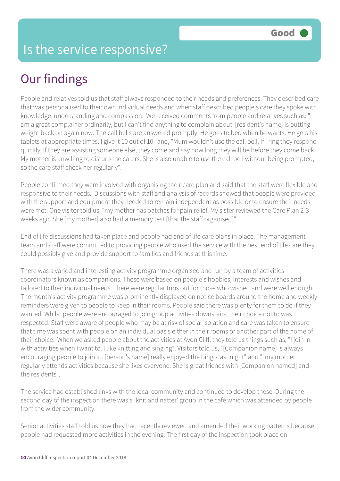## Our findings

People and relatives told us that staff always responded to their needs and preferences. They described care that was personalised to their own individual needs and when staff described people's care they spoke with knowledge, understanding and compassion. We received comments from people and relatives such as: "I am a great complainer ordinarily, but I can't find anything to complain about. [resident's name] is putting weight back on again now. The call bells are answered promptly. He goes to bed when he wants. He gets his tablets at appropriate times. I give it 10 out of 10" and, "Mum wouldn't use the call bell. If I ring they respond quickly. If they are assisting someone else, they come and say how long they will be before they come back. My mother is unwilling to disturb the carers. She is also unable to use the call bell without being prompted, so the care staff check her regularly".

People confirmed they were involved with organising their care plan and said that the staff were flexible and responsive to their needs. Discussions with staff and analysis of records showed that people were provided with the support and equipment they needed to remain independent as possible or to ensure their needs were met. One visitor told us, "my mother has patches for pain relief. My sister reviewed the Care Plan 2-3 weeks ago. She [my mother] also had a memory test [that the staff organised]".

End of life discussions had taken place and people had end of life care plans in place. The management team and staff were committed to providing people who used the service with the best end of life care they could possibly give and provide support to families and friends at this time.

There was a varied and interesting activity programme organised and run by a team of activities coordinators known as companions. These were based on people's hobbies, interests and wishes and tailored to their individual needs. There were regular trips out for those who wished and were well enough. The month's activity programme was prominently displayed on notice boards around the home and weekly reminders were given to people to keep in their rooms. People said there was plenty for them to do if they wanted. Whilst people were encouraged to join group activities downstairs, their choice not to was respected. Staff were aware of people who may be at risk of social isolation and care was taken to ensure that time was spent with people on an individual basis either in their rooms or another part of the home of their choice. When we asked people about the activities at Avon Cliff, they told us things such as, "I join in with activities when I want to. I like knitting and singing". Visitors told us, "[Companion name] is always encouraging people to join in. [person's name] really enjoyed the bingo last night" and ""my mother regularly attends activities because she likes everyone. She is great friends with [Companion named] and the residents".

The service had established links with the local community and continued to develop these. During the second day of the inspection there was a 'knit and natter' group in the café which was attended by people from the wider community.

Senior activities staff told us how they had recently reviewed and amended their working patterns because people had requested more activities in the evening. The first day of the inspection took place on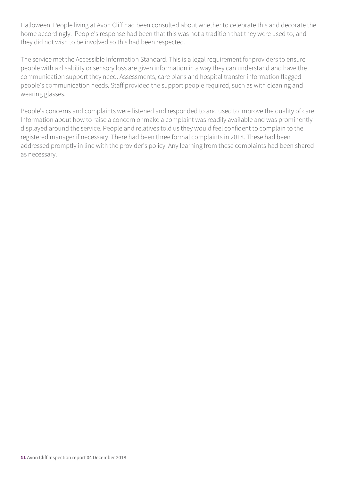Halloween. People living at Avon Cliff had been consulted about whether to celebrate this and decorate the home accordingly. People's response had been that this was not a tradition that they were used to, and they did not wish to be involved so this had been respected.

The service met the Accessible Information Standard. This is a legal requirement for providers to ensure people with a disability or sensory loss are given information in a way they can understand and have the communication support they need. Assessments, care plans and hospital transfer information flagged people's communication needs. Staff provided the support people required, such as with cleaning and wearing glasses.

People's concerns and complaints were listened and responded to and used to improve the quality of care. Information about how to raise a concern or make a complaint was readily available and was prominently displayed around the service. People and relatives told us they would feel confident to complain to the registered manager if necessary. There had been three formal complaints in 2018. These had been addressed promptly in line with the provider's policy. Any learning from these complaints had been shared as necessary.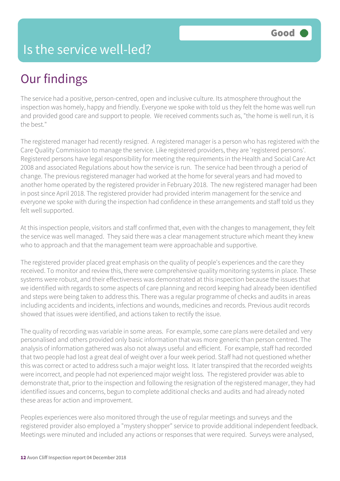## Our findings

The service had a positive, person-centred, open and inclusive culture. Its atmosphere throughout the inspection was homely, happy and friendly. Everyone we spoke with told us they felt the home was well run and provided good care and support to people. We received comments such as, "the home is well run, it is the best."

The registered manager had recently resigned. A registered manager is a person who has registered with the Care Quality Commission to manage the service. Like registered providers, they are 'registered persons'. Registered persons have legal responsibility for meeting the requirements in the Health and Social Care Act 2008 and associated Regulations about how the service is run. The service had been through a period of change. The previous registered manager had worked at the home for several years and had moved to another home operated by the registered provider in February 2018. The new registered manager had been in post since April 2018. The registered provider had provided interim management for the service and everyone we spoke with during the inspection had confidence in these arrangements and staff told us they felt well supported.

At this inspection people, visitors and staff confirmed that, even with the changes to management, they felt the service was well managed. They said there was a clear management structure which meant they knew who to approach and that the management team were approachable and supportive.

The registered provider placed great emphasis on the quality of people's experiences and the care they received. To monitor and review this, there were comprehensive quality monitoring systems in place. These systems were robust, and their effectiveness was demonstrated at this inspection because the issues that we identified with regards to some aspects of care planning and record keeping had already been identified and steps were being taken to address this. There was a regular programme of checks and audits in areas including accidents and incidents, infections and wounds, medicines and records. Previous audit records showed that issues were identified, and actions taken to rectify the issue.

The quality of recording was variable in some areas. For example, some care plans were detailed and very personalised and others provided only basic information that was more generic than person centred. The analysis of information gathered was also not always useful and efficient. For example, staff had recorded that two people had lost a great deal of weight over a four week period. Staff had not questioned whether this was correct or acted to address such a major weight loss. It later transpired that the recorded weights were incorrect, and people had not experienced major weight loss. The registered provider was able to demonstrate that, prior to the inspection and following the resignation of the registered manager, they had identified issues and concerns, begun to complete additional checks and audits and had already noted these areas for action and improvement.

Peoples experiences were also monitored through the use of regular meetings and surveys and the registered provider also employed a "mystery shopper" service to provide additional independent feedback. Meetings were minuted and included any actions or responses that were required. Surveys were analysed,